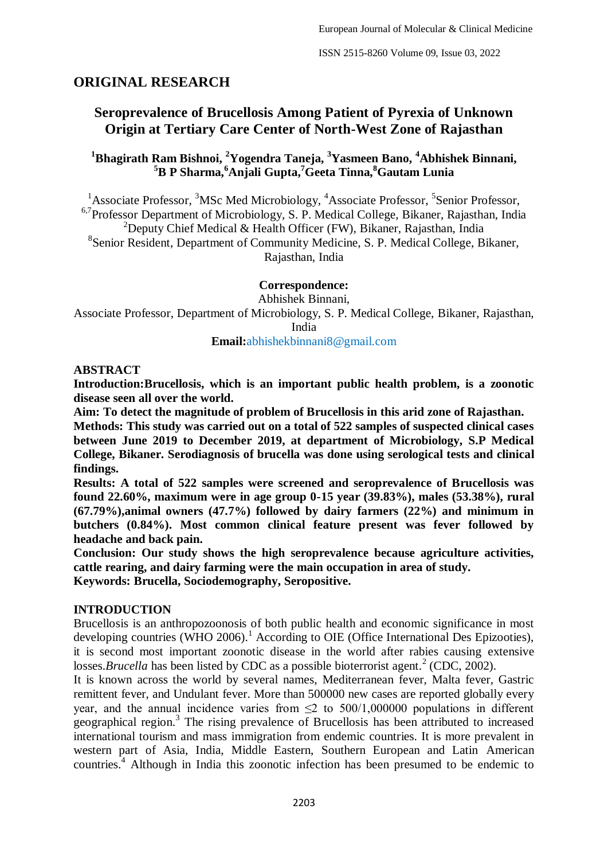# **ORIGINAL RESEARCH**

# **Seroprevalence of Brucellosis Among Patient of Pyrexia of Unknown Origin at Tertiary Care Center of North-West Zone of Rajasthan**

# **<sup>1</sup>Bhagirath Ram Bishnoi, <sup>2</sup>Yogendra Taneja, <sup>3</sup>Yasmeen Bano, <sup>4</sup>Abhishek Binnani, <sup>5</sup>B P Sharma,<sup>6</sup>Anjali Gupta,<sup>7</sup>Geeta Tinna,<sup>8</sup>Gautam Lunia**

<sup>1</sup>Associate Professor, <sup>3</sup>MSc Med Microbiology, <sup>4</sup>Associate Professor, <sup>5</sup>Senior Professor, <sup>6,7</sup>Professor Department of Microbiology, S. P. Medical College, Bikaner, Rajasthan, India <sup>2</sup>Deputy Chief Medical & Health Officer (FW), Bikaner, Rajasthan, India 8 Senior Resident, Department of Community Medicine, S. P. Medical College, Bikaner, Rajasthan, India

**Correspondence:**

Abhishek Binnani,

Associate Professor, Department of Microbiology, S. P. Medical College, Bikaner, Rajasthan, India

**Email:**abhishekbinnani8@gmail.com

#### **ABSTRACT**

**Introduction:Brucellosis, which is an important public health problem, is a zoonotic disease seen all over the world.** 

**Aim: To detect the magnitude of problem of Brucellosis in this arid zone of Rajasthan.**

**Methods: This study was carried out on a total of 522 samples of suspected clinical cases between June 2019 to December 2019, at department of Microbiology, S.P Medical College, Bikaner. Serodiagnosis of brucella was done using serological tests and clinical findings.**

**Results: A total of 522 samples were screened and seroprevalence of Brucellosis was found 22.60%, maximum were in age group 0-15 year (39.83%), males (53.38%), rural (67.79%),animal owners (47.7%) followed by dairy farmers (22%) and minimum in butchers (0.84%). Most common clinical feature present was fever followed by headache and back pain.**

**Conclusion: Our study shows the high seroprevalence because agriculture activities, cattle rearing, and dairy farming were the main occupation in area of study.**

**Keywords: Brucella, Sociodemography, Seropositive.**

#### **INTRODUCTION**

Brucellosis is an anthropozoonosis of both public health and economic significance in most developing countries (WHO 2006).<sup>1</sup> According to OIE (Office International Des Epizooties), it is second most important zoonotic disease in the world after rabies causing extensive losses.*Brucella* has been listed by CDC as a possible bioterrorist agent.<sup>2</sup> (CDC, 2002).

It is known across the world by several names, Mediterranean fever, Malta fever, Gastric remittent fever, and Undulant fever. More than 500000 new cases are reported globally every year, and the annual incidence varies from  $\leq$  to 500/1,000000 populations in different geographical region.<sup>3</sup> The rising prevalence of Brucellosis has been attributed to increased international tourism and mass immigration from endemic countries. It is more prevalent in western part of Asia, India, Middle Eastern, Southern European and Latin American countries.<sup>4</sup> Although in India this zoonotic infection has been presumed to be endemic to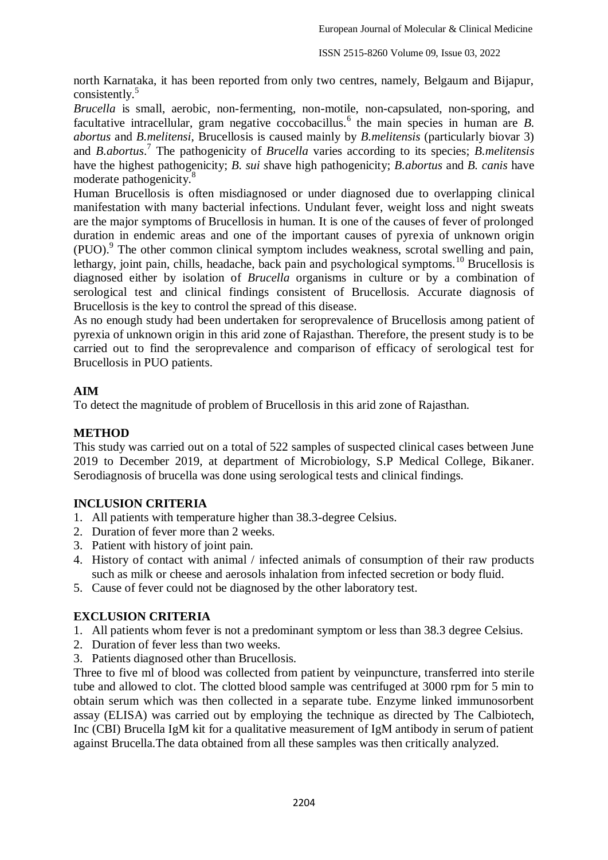north Karnataka, it has been reported from only two centres, namely, Belgaum and Bijapur, consistently.<sup>5</sup>

*Brucella* is small, aerobic, non-fermenting, non-motile, non-capsulated, non-sporing, and facultative intracellular, gram negative coccobacillus.<sup>6</sup> the main species in human are *B*. *abortus* and *B.melitensi*, Brucellosis is caused mainly by *B.melitensis* (particularly biovar 3) and *B.abortus*. 7 The pathogenicity of *Brucella* varies according to its species; *B.melitensis*  have the highest pathogenicity; *B. sui s*have high pathogenicity; *B.abortus* and *B. canis* have moderate pathogenicity.<sup>8</sup>

Human Brucellosis is often misdiagnosed or under diagnosed due to overlapping clinical manifestation with many bacterial infections. Undulant fever, weight loss and night sweats are the major symptoms of Brucellosis in human. It is one of the causes of fever of prolonged duration in endemic areas and one of the important causes of pyrexia of unknown origin (PUO).<sup>9</sup> The other common clinical symptom includes weakness, scrotal swelling and pain, lethargy, joint pain, chills, headache, back pain and psychological symptoms.<sup>10</sup> Brucellosis is diagnosed either by isolation of *Brucella* organisms in culture or by a combination of serological test and clinical findings consistent of Brucellosis. Accurate diagnosis of Brucellosis is the key to control the spread of this disease.

As no enough study had been undertaken for seroprevalence of Brucellosis among patient of pyrexia of unknown origin in this arid zone of Rajasthan. Therefore, the present study is to be carried out to find the seroprevalence and comparison of efficacy of serological test for Brucellosis in PUO patients.

# **AIM**

To detect the magnitude of problem of Brucellosis in this arid zone of Rajasthan.

## **METHOD**

This study was carried out on a total of 522 samples of suspected clinical cases between June 2019 to December 2019, at department of Microbiology, S.P Medical College, Bikaner. Serodiagnosis of brucella was done using serological tests and clinical findings.

## **INCLUSION CRITERIA**

- 1. All patients with temperature higher than 38.3-degree Celsius.
- 2. Duration of fever more than 2 weeks.
- 3. Patient with history of joint pain.
- 4. History of contact with animal / infected animals of consumption of their raw products such as milk or cheese and aerosols inhalation from infected secretion or body fluid.
- 5. Cause of fever could not be diagnosed by the other laboratory test.

## **EXCLUSION CRITERIA**

- 1. All patients whom fever is not a predominant symptom or less than 38.3 degree Celsius.
- 2. Duration of fever less than two weeks.
- 3. Patients diagnosed other than Brucellosis.

Three to five ml of blood was collected from patient by veinpuncture, transferred into sterile tube and allowed to clot. The clotted blood sample was centrifuged at 3000 rpm for 5 min to obtain serum which was then collected in a separate tube. Enzyme linked immunosorbent assay (ELISA) was carried out by employing the technique as directed by The Calbiotech, Inc (CBI) Brucella IgM kit for a qualitative measurement of IgM antibody in serum of patient against Brucella.The data obtained from all these samples was then critically analyzed.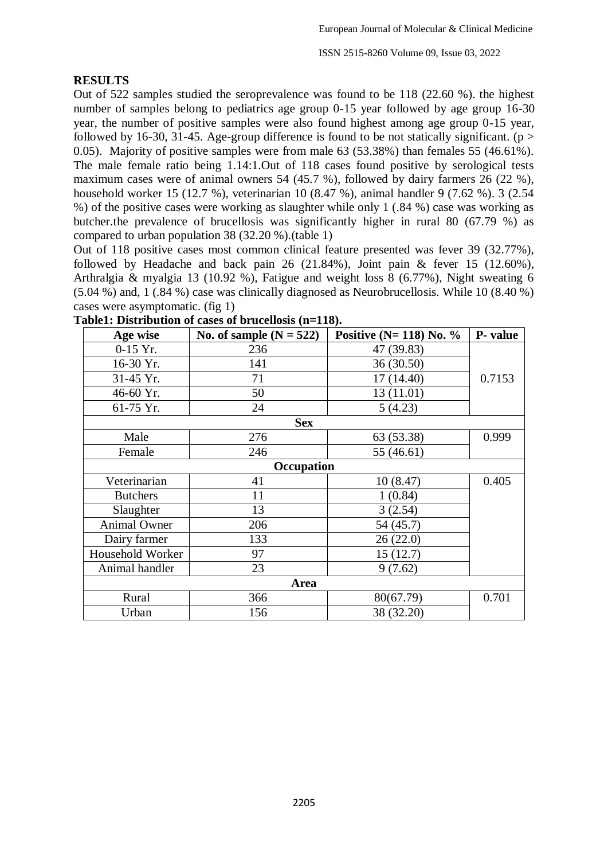ISSN 2515-8260 Volume 09, Issue 03, 2022

#### **RESULTS**

Out of 522 samples studied the seroprevalence was found to be 118 (22.60 %). the highest number of samples belong to pediatrics age group 0-15 year followed by age group 16-30 year, the number of positive samples were also found highest among age group 0-15 year, followed by 16-30, 31-45. Age-group difference is found to be not statically significant. ( $p >$ 0.05). Majority of positive samples were from male 63 (53.38%) than females 55 (46.61%). The male female ratio being 1.14:1.Out of 118 cases found positive by serological tests maximum cases were of animal owners 54 (45.7 %), followed by dairy farmers 26 (22 %), household worker 15 (12.7 %), veterinarian 10 (8.47 %), animal handler 9 (7.62 %). 3 (2.54 %) of the positive cases were working as slaughter while only 1 (.84 %) case was working as butcher.the prevalence of brucellosis was significantly higher in rural 80 (67.79 %) as compared to urban population 38 (32.20 %).(table 1)

Out of 118 positive cases most common clinical feature presented was fever 39 (32.77%), followed by Headache and back pain 26 (21.84%), Joint pain & fever 15 (12.60%), Arthralgia & myalgia 13 (10.92 %), Fatigue and weight loss 8 (6.77%), Night sweating 6 (5.04 %) and, 1 (.84 %) case was clinically diagnosed as Neurobrucellosis. While 10 (8.40 %) cases were asymptomatic. (fig 1)

| Age wise            | No. of sample $(N = 522)$ | Positive $(N=118)$ No. % | P- value |
|---------------------|---------------------------|--------------------------|----------|
| $0-15$ Yr.          | 236                       | 47 (39.83)               |          |
| 16-30 Yr.           | 141                       | 36 (30.50)               |          |
| 31-45 Yr.           | 71                        | 17 (14.40)               | 0.7153   |
| 46-60 Yr.           | 50                        | 13 (11.01)               |          |
| 61-75 Yr.           | 24                        | 5(4.23)                  |          |
| <b>Sex</b>          |                           |                          |          |
| Male                | 276                       | 63 (53.38)               | 0.999    |
| Female              | 246                       | 55 (46.61)               |          |
| Occupation          |                           |                          |          |
| Veterinarian        | 41                        | 10(8.47)                 | 0.405    |
| <b>Butchers</b>     | 11                        | 1(0.84)                  |          |
| Slaughter           | 13                        | 3(2.54)                  |          |
| <b>Animal Owner</b> | 206                       | 54 (45.7)                |          |
| Dairy farmer        | 133                       | 26(22.0)                 |          |
| Household Worker    | 97                        | 15(12.7)                 |          |
| Animal handler      | 23                        | 9(7.62)                  |          |
|                     | <b>Area</b>               |                          |          |
| Rural               | 366                       | 80(67.79)                | 0.701    |
| Urban               | 156                       | 38 (32.20)               |          |

**Table1: Distribution of cases of brucellosis (n=118).**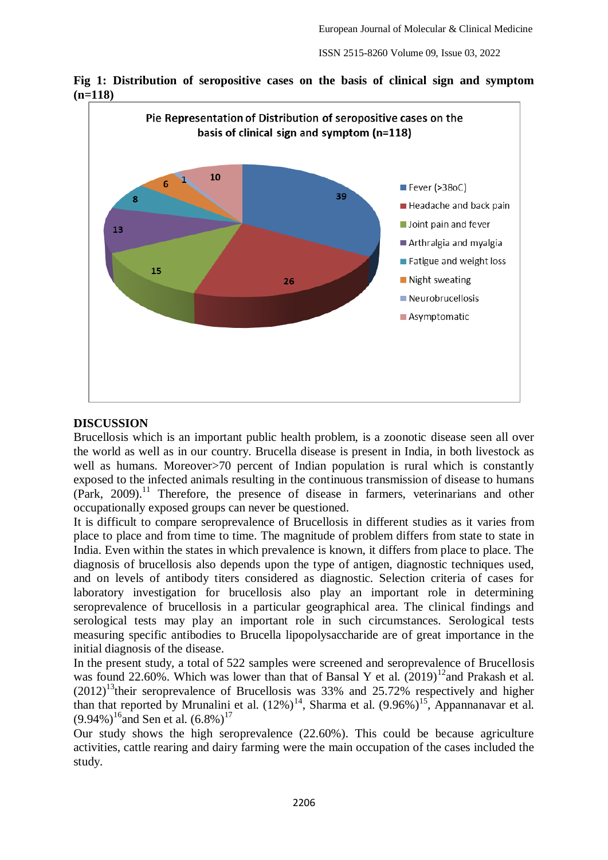



#### **DISCUSSION**

Brucellosis which is an important public health problem, is a zoonotic disease seen all over the world as well as in our country. Brucella disease is present in India, in both livestock as well as humans. Moreover > 70 percent of Indian population is rural which is constantly exposed to the infected animals resulting in the continuous transmission of disease to humans  $(Park, 2009).$ <sup>11</sup> Therefore, the presence of disease in farmers, veterinarians and other occupationally exposed groups can never be questioned.

It is difficult to compare seroprevalence of Brucellosis in different studies as it varies from place to place and from time to time. The magnitude of problem differs from state to state in India. Even within the states in which prevalence is known, it differs from place to place. The diagnosis of brucellosis also depends upon the type of antigen, diagnostic techniques used, and on levels of antibody titers considered as diagnostic. Selection criteria of cases for laboratory investigation for brucellosis also play an important role in determining seroprevalence of brucellosis in a particular geographical area. The clinical findings and serological tests may play an important role in such circumstances. Serological tests measuring specific antibodies to Brucella lipopolysaccharide are of great importance in the initial diagnosis of the disease.

In the present study, a total of 522 samples were screened and seroprevalence of Brucellosis was found 22.60%. Which was lower than that of Bansal Y et al.  $(2019)^{12}$ and Prakash et al.  $(2012)^{13}$ their seroprevalence of Brucellosis was 33% and 25.72% respectively and higher than that reported by Mrunalini et al.  $(12\%)^{14}$ , Sharma et al.  $(9.96\%)^{15}$ , Appannanavar et al.  $(9.94\%)$ <sup>16</sup>and Sen et al.  $(6.8\%)$ <sup>17</sup>

Our study shows the high seroprevalence (22.60%). This could be because agriculture activities, cattle rearing and dairy farming were the main occupation of the cases included the study.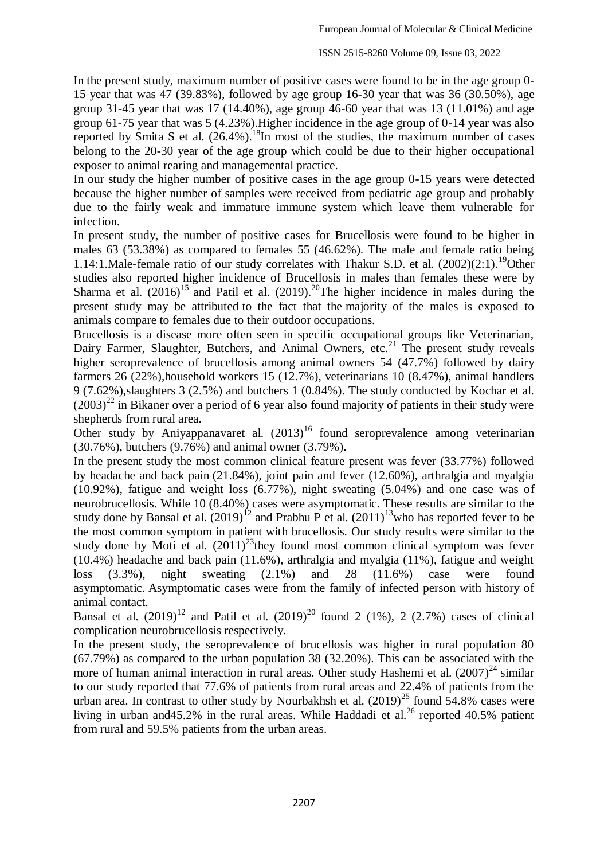In the present study, maximum number of positive cases were found to be in the age group 0- 15 year that was 47 (39.83%), followed by age group 16-30 year that was 36 (30.50%), age group 31-45 year that was 17 (14.40%), age group 46-60 year that was 13 (11.01%) and age group 61-75 year that was 5 (4.23%).Higher incidence in the age group of 0-14 year was also reported by Smita S et al.  $(26.4\%)$ .<sup>18</sup>In most of the studies, the maximum number of cases belong to the 20-30 year of the age group which could be due to their higher occupational exposer to animal rearing and managemental practice.

In our study the higher number of positive cases in the age group 0-15 years were detected because the higher number of samples were received from pediatric age group and probably due to the fairly weak and immature immune system which leave them vulnerable for infection.

In present study, the number of positive cases for Brucellosis were found to be higher in males 63 (53.38%) as compared to females 55 (46.62%). The male and female ratio being 1.14:1. Male-female ratio of our study correlates with Thakur S.D. et al.  $(2002)(2:1)$ .<sup>19</sup>Other studies also reported higher incidence of Brucellosis in males than females these were by Sharma et al.  $(2016)^{15}$  and Patil et al.  $(2019)^{20}$ The higher incidence in males during the present study may be attributed to the fact that the majority of the males is exposed to animals compare to females due to their outdoor occupations.

Brucellosis is a disease more often seen in specific occupational groups like Veterinarian, Dairy Farmer, Slaughter, Butchers, and Animal Owners, etc.<sup>21</sup> The present study reveals higher seroprevalence of brucellosis among animal owners 54 (47.7%) followed by dairy farmers 26 (22%),household workers 15 (12.7%), veterinarians 10 (8.47%), animal handlers 9 (7.62%),slaughters 3 (2.5%) and butchers 1 (0.84%). The study conducted by Kochar et al.  $(2003)^{22}$  in Bikaner over a period of 6 year also found majority of patients in their study were shepherds from rural area.

Other study by Aniyappanavaret al.  $(2013)^{16}$  found seroprevalence among veterinarian (30.76%), butchers (9.76%) and animal owner (3.79%).

In the present study the most common clinical feature present was fever (33.77%) followed by headache and back pain (21.84%), joint pain and fever (12.60%), arthralgia and myalgia (10.92%), fatigue and weight loss (6.77%), night sweating (5.04%) and one case was of neurobrucellosis. While 10 (8.40%) cases were asymptomatic. These results are similar to the study done by Bansal et al.  $(2019)^{12}$  and Prabhu P et al.  $(2011)^{13}$  who has reported fever to be the most common symptom in patient with brucellosis. Our study results were similar to the study done by Moti et al.  $(2011)^{23}$ they found most common clinical symptom was fever (10.4%) headache and back pain (11.6%), arthralgia and myalgia (11%), fatigue and weight loss (3.3%), night sweating (2.1%) and 28 (11.6%) case were found asymptomatic. Asymptomatic cases were from the family of infected person with history of animal contact.

Bansal et al.  $(2019)^{12}$  and Patil et al.  $(2019)^{20}$  found 2 (1%), 2 (2.7%) cases of clinical complication neurobrucellosis respectively.

In the present study, the seroprevalence of brucellosis was higher in rural population 80 (67.79%) as compared to the urban population 38 (32.20%). This can be associated with the more of human animal interaction in rural areas. Other study Hashemi et al.  $(2007)^{24}$  similar to our study reported that 77.6% of patients from rural areas and 22.4% of patients from the urban area. In contrast to other study by Nourbakhsh et al.  $(2019)^{25}$  found 54.8% cases were living in urban and 45.2% in the rural areas. While Haddadi et al.<sup>26</sup> reported 40.5% patient from rural and 59.5% patients from the urban areas.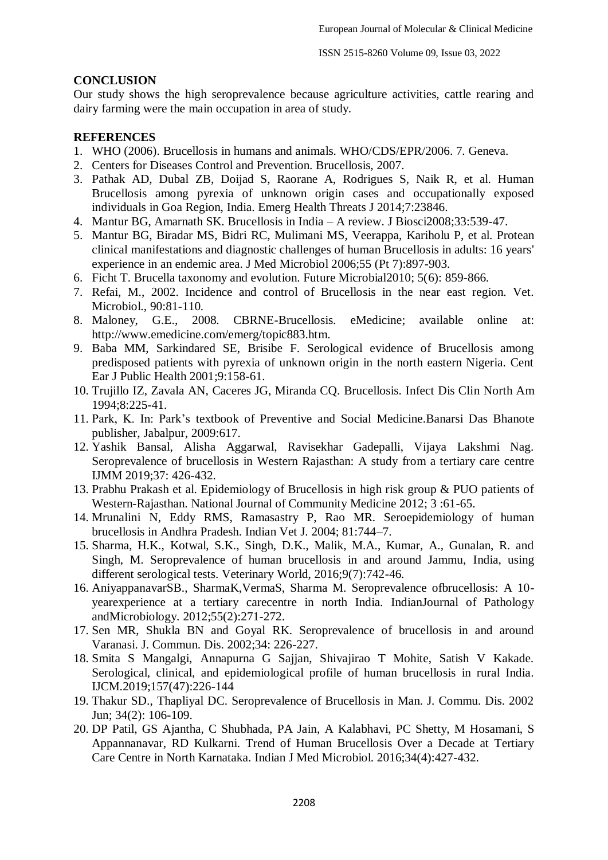#### **CONCLUSION**

Our study shows the high seroprevalence because agriculture activities, cattle rearing and dairy farming were the main occupation in area of study.

## **REFERENCES**

- 1. WHO (2006). Brucellosis in humans and animals. WHO/CDS/EPR/2006. 7. Geneva.
- 2. Centers for Diseases Control and Prevention. Brucellosis, 2007.
- 3. Pathak AD, Dubal ZB, Doijad S, Raorane A, Rodrigues S, Naik R, et al. Human Brucellosis among pyrexia of unknown origin cases and occupationally exposed individuals in Goa Region, India. Emerg Health Threats J 2014;7:23846.
- 4. Mantur BG, Amarnath SK. Brucellosis in India A review. J Biosci2008;33:539-47.
- 5. Mantur BG, Biradar MS, Bidri RC, Mulimani MS, Veerappa, Kariholu P, et al. Protean clinical manifestations and diagnostic challenges of human Brucellosis in adults: 16 years' experience in an endemic area. J Med Microbiol 2006;55 (Pt 7):897-903.
- 6. Ficht T. Brucella taxonomy and evolution. Future Microbial2010; 5(6): 859-866.
- 7. Refai, M., 2002. Incidence and control of Brucellosis in the near east region. Vet. Microbiol., 90:81-110.
- 8. Maloney, G.E., 2008. CBRNE-Brucellosis. eMedicine; available online at: http://www.emedicine.com/emerg/topic883.htm.
- 9. Baba MM, Sarkindared SE, Brisibe F. Serological evidence of Brucellosis among predisposed patients with pyrexia of unknown origin in the north eastern Nigeria. Cent Ear J Public Health 2001;9:158-61.
- 10. Trujillo IZ, Zavala AN, Caceres JG, Miranda CQ. Brucellosis. Infect Dis Clin North Am 1994;8:225-41.
- 11. Park, K. In: Park's textbook of Preventive and Social Medicine.Banarsi Das Bhanote publisher, Jabalpur, 2009:617.
- 12. Yashik Bansal, Alisha Aggarwal, Ravisekhar Gadepalli, Vijaya Lakshmi Nag. Seroprevalence of brucellosis in Western Rajasthan: A study from a tertiary care centre IJMM 2019;37: 426-432.
- 13. Prabhu Prakash et al. Epidemiology of Brucellosis in high risk group & PUO patients of Western-Rajasthan. National Journal of Community Medicine 2012; 3 :61-65.
- 14. Mrunalini N, Eddy RMS, Ramasastry P, Rao MR. Seroepidemiology of human brucellosis in Andhra Pradesh. Indian Vet J. 2004; 81:744–7.
- 15. Sharma, H.K., Kotwal, S.K., Singh, D.K., Malik, M.A., Kumar, A., Gunalan, R. and Singh, M. Seroprevalence of human brucellosis in and around Jammu, India, using different serological tests. Veterinary World, 2016;9(7):742-46.
- 16. AniyappanavarSB., SharmaK,VermaS, Sharma M. Seroprevalence ofbrucellosis: A 10 yearexperience at a tertiary carecentre in north India. IndianJournal of Pathology andMicrobiology. 2012;55(2):271-272.
- 17. Sen MR, Shukla BN and Goyal RK. Seroprevalence of brucellosis in and around Varanasi. J. Commun. Dis. 2002;34: 226-227.
- 18. Smita S Mangalgi, Annapurna G Sajjan, Shivajirao T Mohite, Satish V Kakade. Serological, clinical, and epidemiological profile of human brucellosis in rural India. IJCM.2019;157(47):226-144
- 19. Thakur SD., Thapliyal DC. Seroprevalence of Brucellosis in Man. J. Commu. Dis. 2002 Jun; 34(2): 106-109.
- 20. DP Patil, GS Ajantha, C Shubhada, PA Jain, A Kalabhavi, PC Shetty, M Hosamani, S Appannanavar, RD Kulkarni. Trend of Human Brucellosis Over a Decade at Tertiary Care Centre in North Karnataka. Indian J Med Microbiol. 2016;34(4):427-432.